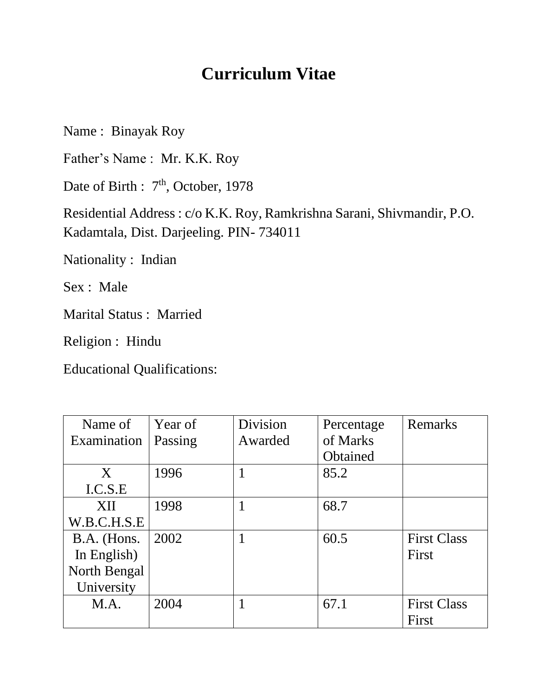# **Curriculum Vitae**

Name : Binayak Roy

Father's Name : Mr. K.K. Roy

Date of Birth : 7<sup>th</sup>, October, 1978

Residential Address : c/o K.K. Roy, Ramkrishna Sarani, Shivmandir, P.O. Kadamtala, Dist. Darjeeling. PIN- 734011

Nationality : Indian

Sex : Male

Marital Status : Married

Religion : Hindu

Educational Qualifications:

| Name of      | Year of | Division | Percentage | Remarks            |
|--------------|---------|----------|------------|--------------------|
| Examination  | Passing | Awarded  | of Marks   |                    |
|              |         |          | Obtained   |                    |
| X            | 1996    |          | 85.2       |                    |
| I.C.S.E      |         |          |            |                    |
| <b>XII</b>   | 1998    |          | 68.7       |                    |
| W.B.C.H.S.E  |         |          |            |                    |
| B.A. (Hons.  | 2002    |          | 60.5       | <b>First Class</b> |
| In English)  |         |          |            | First              |
| North Bengal |         |          |            |                    |
| University   |         |          |            |                    |
| M.A.         | 2004    |          | 67.1       | <b>First Class</b> |
|              |         |          |            | First              |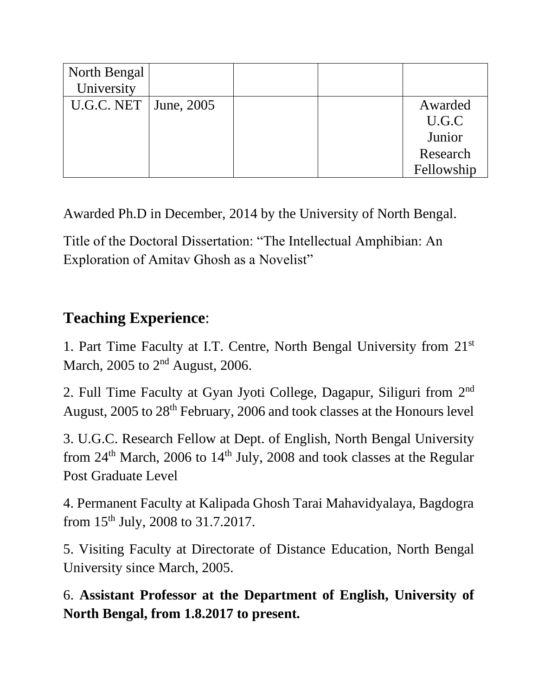| North Bengal              |  |            |
|---------------------------|--|------------|
| University                |  |            |
| U.G.C. NET $ $ June, 2005 |  | Awarded    |
|                           |  | U.G.C      |
|                           |  | Junior     |
|                           |  | Research   |
|                           |  | Fellowship |

Awarded Ph.D in December, 2014 by the University of North Bengal.

Title of the Doctoral Dissertation: "The Intellectual Amphibian: An Exploration of Amitav Ghosh as a Novelist"

# **Teaching Experience**:

1. Part Time Faculty at I.T. Centre, North Bengal University from 21st March, 2005 to 2<sup>nd</sup> August, 2006.

2. Full Time Faculty at Gyan Jyoti College, Dagapur, Siliguri from 2<sup>nd</sup> August, 2005 to 28th February, 2006 and took classes at the Honours level

3. U.G.C. Research Fellow at Dept. of English, North Bengal University from 24<sup>th</sup> March, 2006 to 14<sup>th</sup> July, 2008 and took classes at the Regular Post Graduate Level

4. Permanent Faculty at Kalipada Ghosh Tarai Mahavidyalaya, Bagdogra from 15th July, 2008 to 31.7.2017.

5. Visiting Faculty at Directorate of Distance Education, North Bengal University since March, 2005.

6. **Assistant Professor at the Department of English, University of North Bengal, from 1.8.2017 to present.**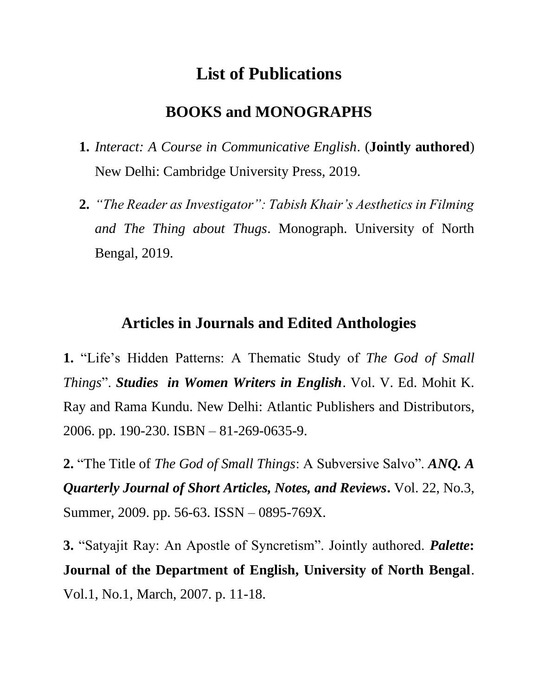# **List of Publications**

### **BOOKS and MONOGRAPHS**

- **1.** *Interact: A Course in Communicative English*. (**Jointly authored**) New Delhi: Cambridge University Press, 2019.
- **2.** *"The Reader as Investigator": Tabish Khair's Aesthetics in Filming and The Thing about Thugs*. Monograph. University of North Bengal, 2019.

#### **Articles in Journals and Edited Anthologies**

**1.** "Life's Hidden Patterns: A Thematic Study of *The God of Small Things*". *Studies in Women Writers in English*. Vol. V. Ed. Mohit K. Ray and Rama Kundu. New Delhi: Atlantic Publishers and Distributors, 2006. pp. 190-230. ISBN – 81-269-0635-9.

**2.** "The Title of *The God of Small Things*: A Subversive Salvo". *ANQ. A Quarterly Journal of Short Articles, Notes, and Reviews***.** Vol. 22, No.3, Summer, 2009. pp. 56-63. ISSN – 0895-769X.

**3.** "Satyajit Ray: An Apostle of Syncretism". Jointly authored. *Palette***: Journal of the Department of English, University of North Bengal**. Vol.1, No.1, March, 2007. p. 11-18.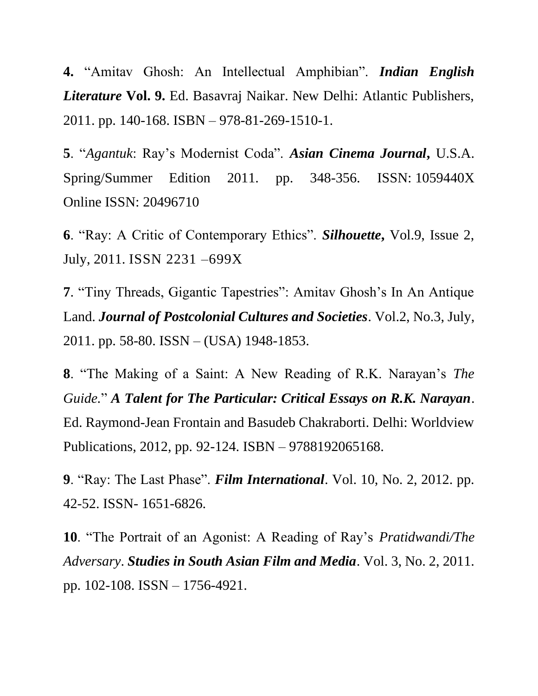**4.** "Amitav Ghosh: An Intellectual Amphibian". *Indian English Literature* **Vol. 9.** Ed. Basavraj Naikar. New Delhi: Atlantic Publishers, 2011. pp. 140-168. ISBN – 978-81-269-1510-1.

**5**. "*Agantuk*: Ray's Modernist Coda". *Asian Cinema Journal***,** U.S.A. Spring/Summer Edition 2011. pp. 348-356. ISSN: 1059440X Online ISSN: 20496710

**6**. "Ray: A Critic of Contemporary Ethics". *Silhouette***,** Vol.9, Issue 2, July, 2011. ISSN 2231 –699X

**7**. "Tiny Threads, Gigantic Tapestries": Amitav Ghosh's In An Antique Land. *Journal of Postcolonial Cultures and Societies*. Vol.2, No.3, July, 2011. pp. 58-80. ISSN – (USA) 1948-1853.

**8**. "The Making of a Saint: A New Reading of R.K. Narayan's *The Guide.*" *A Talent for The Particular: Critical Essays on R.K. Narayan*. Ed. Raymond-Jean Frontain and Basudeb Chakraborti. Delhi: Worldview Publications, 2012, pp. 92-124. ISBN – 9788192065168.

**9**. "Ray: The Last Phase". *Film International*. Vol. 10, No. 2, 2012. pp. 42-52. ISSN- 1651-6826.

**10**. "The Portrait of an Agonist: A Reading of Ray's *Pratidwandi/The Adversary*. *Studies in South Asian Film and Media*. Vol. 3, No. 2, 2011. pp. 102-108. ISSN – 1756-4921.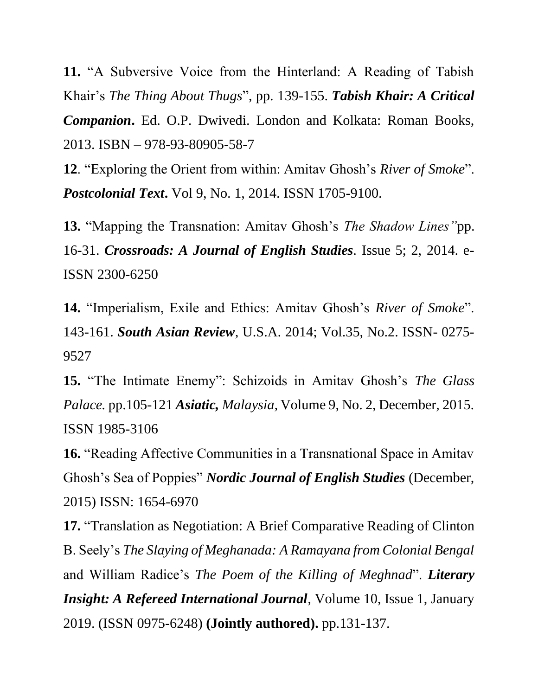**11.** "A Subversive Voice from the Hinterland: A Reading of Tabish Khair's *The Thing About Thugs*", pp. 139-155. *Tabish Khair: A Critical Companion***.** Ed. O.P. Dwivedi. London and Kolkata: Roman Books, 2013. ISBN – 978-93-80905-58-7

**12**. "Exploring the Orient from within: Amitav Ghosh's *River of Smoke*". *Postcolonial Text***.** Vol 9, No. 1, 2014. ISSN 1705-9100.

**13.** "Mapping the Transnation: Amitav Ghosh's *The Shadow Lines"*pp. 16-31. *Crossroads: A Journal of English Studies.* Issue 5; 2, 2014. e-ISSN 2300-6250

**14.** "Imperialism, Exile and Ethics: Amitav Ghosh's *River of Smoke*". 143-161. *South Asian Review,* U.S.A. 2014; Vol.35, No.2. ISSN- 0275- 9527

**15.** "The Intimate Enemy": Schizoids in Amitav Ghosh's *The Glass Palace.* pp.105-121 *Asiatic, Malaysia,* Volume 9, No. 2, December, 2015. ISSN 1985-3106

**16.** "Reading Affective Communities in a Transnational Space in Amitav Ghosh's Sea of Poppies" *Nordic Journal of English Studies* (December, 2015) ISSN: 1654-6970

**17.** "Translation as Negotiation: A Brief Comparative Reading of Clinton B. Seely's *The Slaying of Meghanada: A Ramayana from Colonial Bengal* and William Radice's *The Poem of the Killing of Meghnad*". *Literary Insight: A Refereed International Journal, Volume 10, Issue 1, January* 2019. (ISSN 0975-6248) **(Jointly authored).** pp.131-137.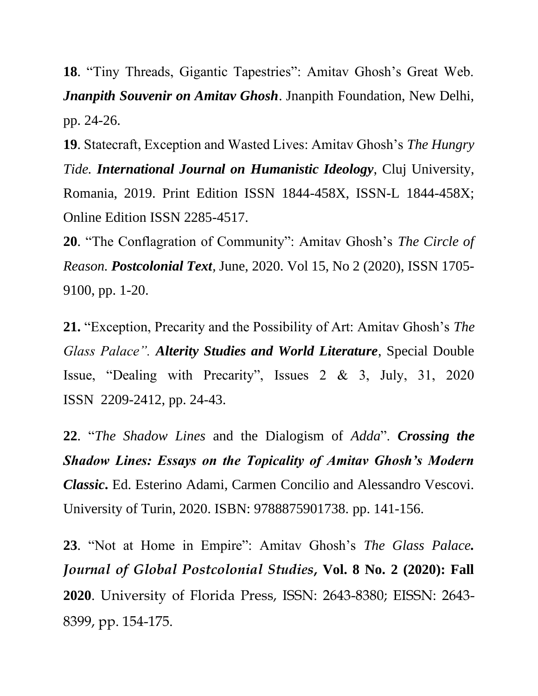**18**. "Tiny Threads, Gigantic Tapestries": Amitav Ghosh's Great Web. *Jnanpith Souvenir on Amitav Ghosh*. Jnanpith Foundation, New Delhi, pp. 24-26.

**19**. Statecraft, Exception and Wasted Lives: Amitav Ghosh's *The Hungry Tide. International Journal on Humanistic Ideology*, Cluj University, Romania, 2019. Print Edition ISSN 1844-458X, ISSN-L 1844-458X; Online Edition ISSN 2285-4517.

**20**. "The Conflagration of Community": Amitav Ghosh's *The Circle of Reason. Postcolonial Text,* June, 2020. [Vol 15, No 2 \(2020\),](https://www.postcolonial.org/index.php/pct/issue/view/82/showToc) ISSN 1705- 9100, pp. 1-20.

**21.** "Exception, Precarity and the Possibility of Art: Amitav Ghosh's *The Glass Palace". Alterity Studies and World Literature*, Special Double Issue, "Dealing with Precarity", Issues 2 & 3, July, 31, 2020 ISSN 2209-2412, pp. 24-43.

**22**. "*The Shadow Lines* and the Dialogism of *Adda*". *Crossing the Shadow Lines: Essays on the Topicality of Amitav Ghosh's Modern Classic***.** Ed. Esterino Adami, Carmen Concilio and Alessandro Vescovi. University of Turin, 2020. ISBN: 9788875901738. pp. 141-156.

**23**. "Not at Home in Empire": Amitav Ghosh's *The Glass Palace. Journal of Global Postcolonial Studies***, Vol. 8 No. 2 (2020): Fall 2020**. University of Florida Press, ISSN: 2643-8380; EISSN: 2643- 8399, pp. 154-175.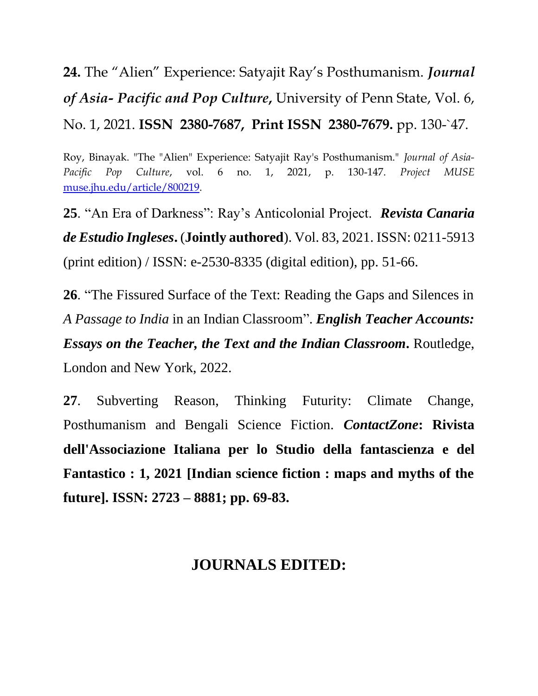**24.** The "Alien" Experience: Satyajit Ray's Posthumanism. *Journal of Asia- Pacific and Pop Culture***,** University of Penn State, Vol. 6, No. 1, 2021. **ISSN 2380-7687, Print ISSN 2380-7679.** pp. 130-`47.

Roy, Binayak. "The "Alien" Experience: Satyajit Ray's Posthumanism." *Journal of Asia-Pacific Pop Culture*, vol. 6 no. 1, 2021, p. 130-147. *Project MUSE* [muse.jhu.edu/article/800219.](https://muse.jhu.edu/article/800219)

**25**. "An Era of Darkness": Ray's Anticolonial Project. *Revista Canaria de Estudio Ingleses***.** (**Jointly authored**). Vol. 83, 2021. ISSN: 0211-5913 (print edition) / ISSN: e-2530-8335 (digital edition), pp. 51-66.

**26**. "The Fissured Surface of the Text: Reading the Gaps and Silences in *A Passage to India* in an Indian Classroom". *English Teacher Accounts: Essays on the Teacher, the Text and the Indian Classroom***.** Routledge, London and New York, 2022.

**27**. Subverting Reason, Thinking Futurity: Climate Change, Posthumanism and Bengali Science Fiction. *ContactZone***: Rivista dell'Associazione Italiana per lo Studio della fantascienza e del Fantastico : 1, 2021 [Indian science fiction : maps and myths of the future]. ISSN: 2723 – 8881; pp. 69-83.**

## **JOURNALS EDITED:**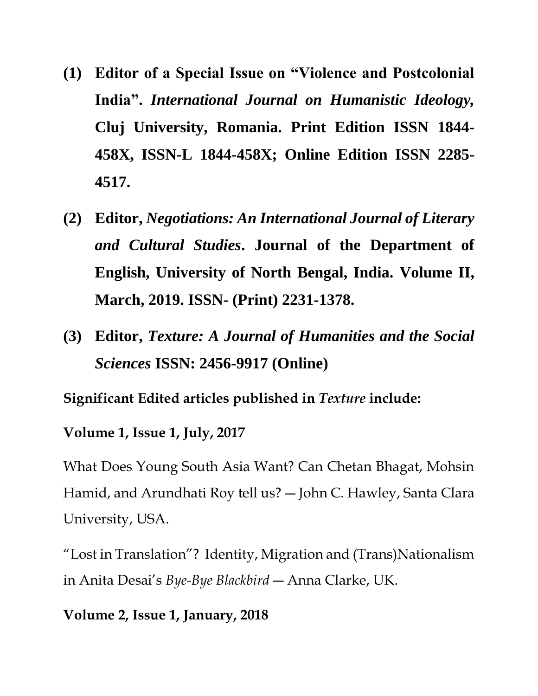- **(1) Editor of a Special Issue on "Violence and Postcolonial India".** *International Journal on Humanistic Ideology,*  **Cluj University, Romania. Print Edition ISSN 1844- 458X, ISSN-L 1844-458X; Online Edition ISSN 2285- 4517.**
- **(2) Editor,** *Negotiations: An International Journal of Literary and Cultural Studies***. Journal of the Department of English, University of North Bengal, India. Volume II, March, 2019. ISSN- (Print) 2231-1378.**
- **(3) Editor,** *Texture: A Journal of Humanities and the Social Sciences* **ISSN: 2456-9917 (Online)**

**Significant Edited articles published in** *Texture* **include:**

**Volume 1, Issue 1, July, 2017**

What Does Young South Asia Want? Can Chetan Bhagat, Mohsin Hamid, and Arundhati Roy tell us? ― John C. Hawley, Santa Clara University, USA.

"Lost in Translation"? Identity, Migration and (Trans)Nationalism in Anita Desai's *Bye-Bye Blackbird* ― Anna Clarke, UK.

#### **Volume 2, Issue 1, January, 2018**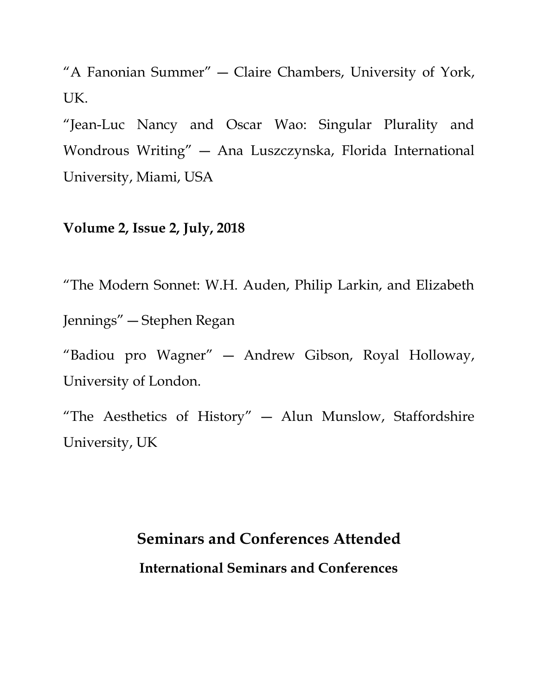"A Fanonian Summer" ― Claire Chambers, University of York, UK.

"Jean-Luc Nancy and Oscar Wao: Singular Plurality and Wondrous Writing" ― Ana Luszczynska, Florida International University, Miami, USA

#### **Volume 2, Issue 2, July, 2018**

"The Modern Sonnet: W.H. Auden, Philip Larkin, and Elizabeth Jennings" ― Stephen Regan "Badiou pro Wagner" ― Andrew Gibson, Royal Holloway, University of London.

"The Aesthetics of History" ― Alun Munslow, Staffordshire University, UK

# **Seminars and Conferences Attended International Seminars and Conferences**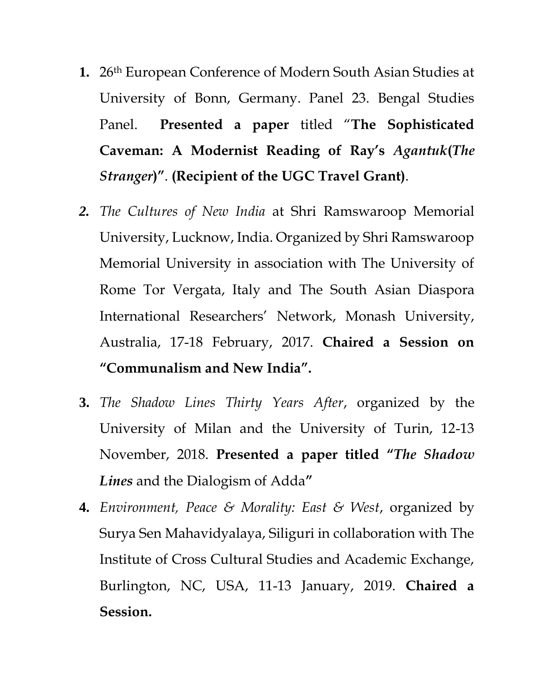- **1.** 26th European Conference of Modern South Asian Studies at University of Bonn, Germany. Panel 23. Bengal Studies Panel. **Presented a paper** titled "**The Sophisticated Caveman: A Modernist Reading of Ray's** *Agantuk***(***The Stranger***)"**. **(Recipient of the UGC Travel Grant)**.
- *2. The Cultures of New India* at Shri Ramswaroop Memorial University, Lucknow, India. Organized by Shri Ramswaroop Memorial University in association with The University of Rome Tor Vergata, Italy and The South Asian Diaspora International Researchers' Network, Monash University, Australia, 17-18 February, 2017. **Chaired a Session on "Communalism and New India".**
- **3.** *The Shadow Lines Thirty Years After*, organized by the University of Milan and the University of Turin, 12-13 November, 2018. **Presented a paper titled "***The Shadow Lines* and the Dialogism of Adda**"**
- **4.** *Environment, Peace & Morality: East & West*, organized by Surya Sen Mahavidyalaya, Siliguri in collaboration with The Institute of Cross Cultural Studies and Academic Exchange, Burlington, NC, USA, 11-13 January, 2019. **Chaired a Session.**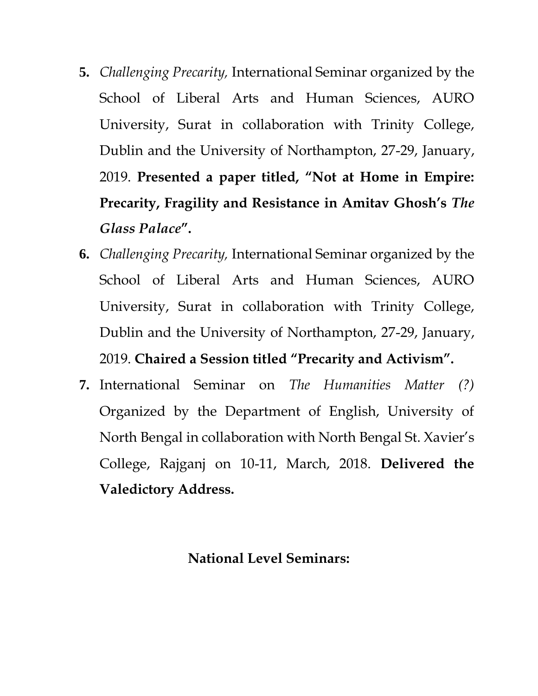- **5.** *Challenging Precarity,* International Seminar organized by the School of Liberal Arts and Human Sciences, AURO University, Surat in collaboration with Trinity College, Dublin and the University of Northampton, 27-29, January, 2019. **Presented a paper titled, "Not at Home in Empire: Precarity, Fragility and Resistance in Amitav Ghosh's** *The Glass Palace***".**
- **6.** *Challenging Precarity,* International Seminar organized by the School of Liberal Arts and Human Sciences, AURO University, Surat in collaboration with Trinity College, Dublin and the University of Northampton, 27-29, January, 2019. **Chaired a Session titled "Precarity and Activism".**
- **7.** International Seminar on *The Humanities Matter (?)* Organized by the Department of English, University of North Bengal in collaboration with North Bengal St. Xavier's College, Rajganj on 10-11, March, 2018. **Delivered the Valedictory Address.**

#### **National Level Seminars:**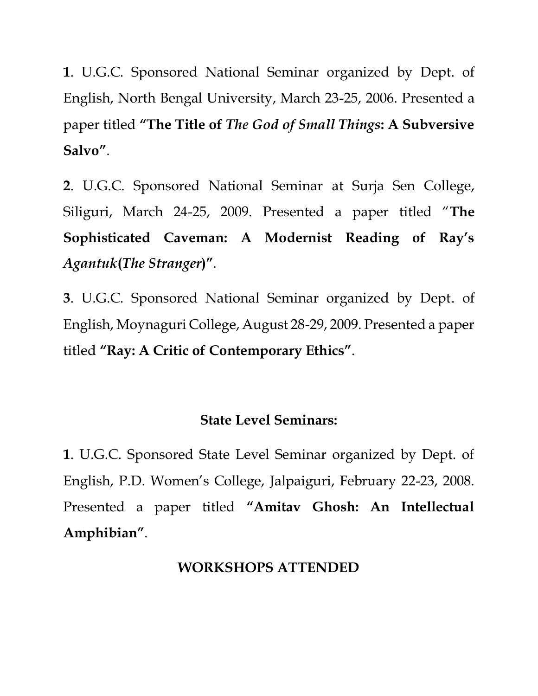**1**. U.G.C. Sponsored National Seminar organized by Dept. of English, North Bengal University, March 23-25, 2006. Presented a paper titled **"The Title of** *The God of Small Things***: A Subversive Salvo"**.

**2**. U.G.C. Sponsored National Seminar at Surja Sen College, Siliguri, March 24-25, 2009. Presented a paper titled "**The Sophisticated Caveman: A Modernist Reading of Ray's**  *Agantuk***(***The Stranger***)"**.

**3**. U.G.C. Sponsored National Seminar organized by Dept. of English, Moynaguri College, August 28-29, 2009. Presented a paper titled **"Ray: A Critic of Contemporary Ethics"**.

## **State Level Seminars:**

**1**. U.G.C. Sponsored State Level Seminar organized by Dept. of English, P.D. Women's College, Jalpaiguri, February 22-23, 2008. Presented a paper titled **"Amitav Ghosh: An Intellectual Amphibian"**.

## **WORKSHOPS ATTENDED**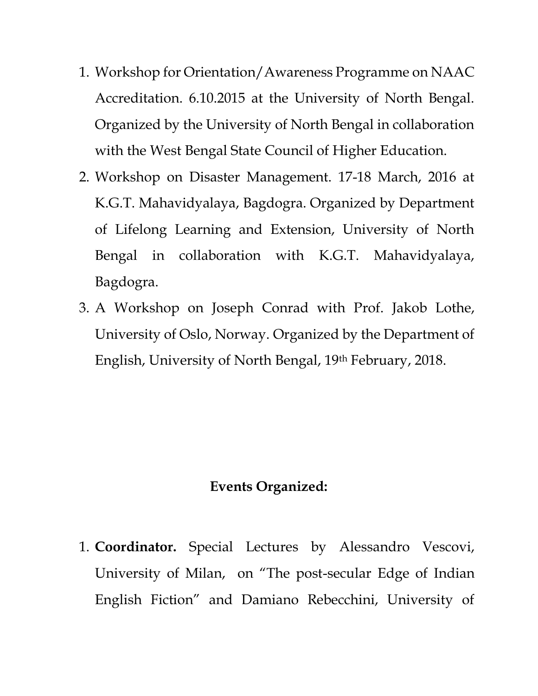- 1. Workshop for Orientation/Awareness Programme on NAAC Accreditation. 6.10.2015 at the University of North Bengal. Organized by the University of North Bengal in collaboration with the West Bengal State Council of Higher Education.
- 2. Workshop on Disaster Management. 17-18 March, 2016 at K.G.T. Mahavidyalaya, Bagdogra. Organized by Department of Lifelong Learning and Extension, University of North Bengal in collaboration with K.G.T. Mahavidyalaya, Bagdogra.
- 3. A Workshop on Joseph Conrad with Prof. Jakob Lothe, University of Oslo, Norway. Organized by the Department of English, University of North Bengal, 19th February, 2018.

#### **Events Organized:**

1. **Coordinator.** Special Lectures by Alessandro Vescovi, University of Milan, on "The post-secular Edge of Indian English Fiction" and Damiano Rebecchini, University of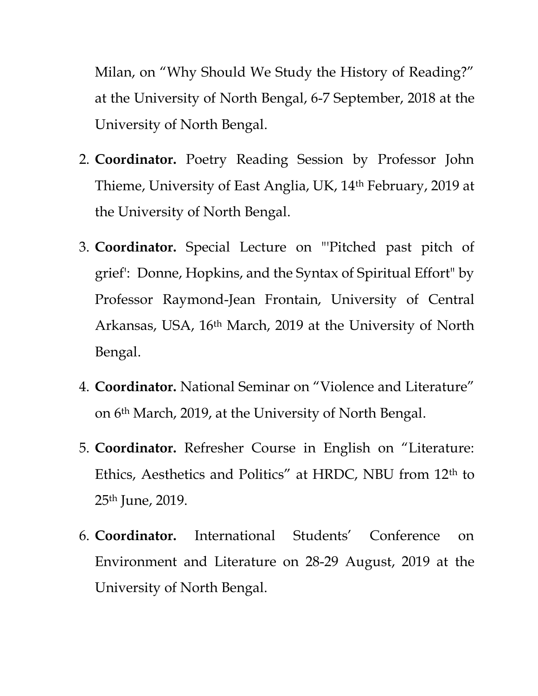Milan, on "Why Should We Study the History of Reading?" at the University of North Bengal, 6-7 September, 2018 at the University of North Bengal.

- 2. **Coordinator.** Poetry Reading Session by Professor John Thieme, University of East Anglia, UK, 14th February, 2019 at the University of North Bengal.
- 3. **Coordinator.** Special Lecture on "'Pitched past pitch of grief': Donne, Hopkins, and the Syntax of Spiritual Effort" by Professor Raymond-Jean Frontain, University of Central Arkansas, USA, 16th March, 2019 at the University of North Bengal.
- 4. **Coordinator.** National Seminar on "Violence and Literature" on 6th March, 2019, at the University of North Bengal.
- 5. **Coordinator.** Refresher Course in English on "Literature: Ethics, Aesthetics and Politics" at HRDC, NBU from 12th to 25th June, 2019.
- 6. **Coordinator.** International Students' Conference on Environment and Literature on 28-29 August, 2019 at the University of North Bengal.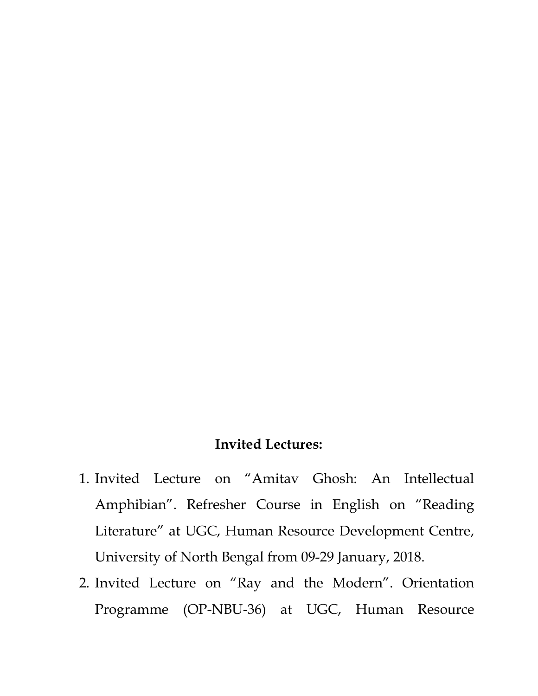#### **Invited Lectures:**

- 1. Invited Lecture on "Amitav Ghosh: An Intellectual Amphibian". Refresher Course in English on "Reading Literature" at UGC, Human Resource Development Centre, University of North Bengal from 09-29 January, 2018.
- 2. Invited Lecture on "Ray and the Modern". Orientation Programme (OP-NBU-36) at UGC, Human Resource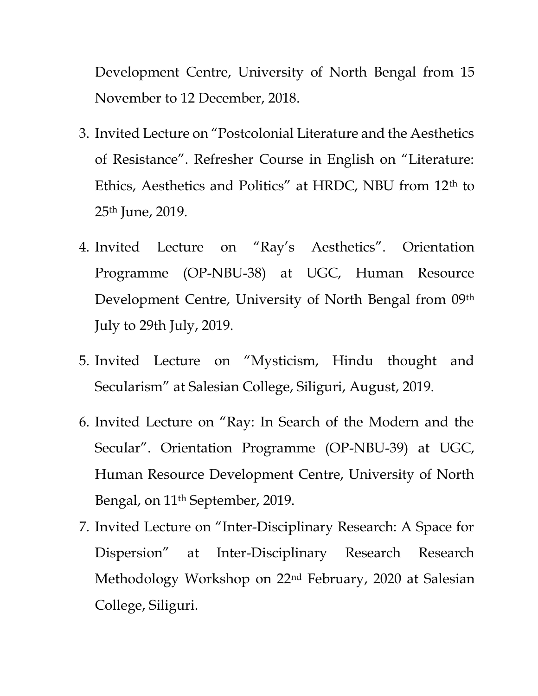Development Centre, University of North Bengal from 15 November to 12 December, 2018.

- 3. Invited Lecture on "Postcolonial Literature and the Aesthetics of Resistance". Refresher Course in English on "Literature: Ethics, Aesthetics and Politics" at HRDC, NBU from 12th to 25th June, 2019.
- 4. Invited Lecture on "Ray's Aesthetics". Orientation Programme (OP-NBU-38) at UGC, Human Resource Development Centre, University of North Bengal from 09th July to 29th July, 2019.
- 5. Invited Lecture on "Mysticism, Hindu thought and Secularism" at Salesian College, Siliguri, August, 2019.
- 6. Invited Lecture on "Ray: In Search of the Modern and the Secular". Orientation Programme (OP-NBU-39) at UGC, Human Resource Development Centre, University of North Bengal, on 11th September, 2019.
- 7. Invited Lecture on "Inter-Disciplinary Research: A Space for Dispersion" at Inter-Disciplinary Research Research Methodology Workshop on 22nd February, 2020 at Salesian College, Siliguri.